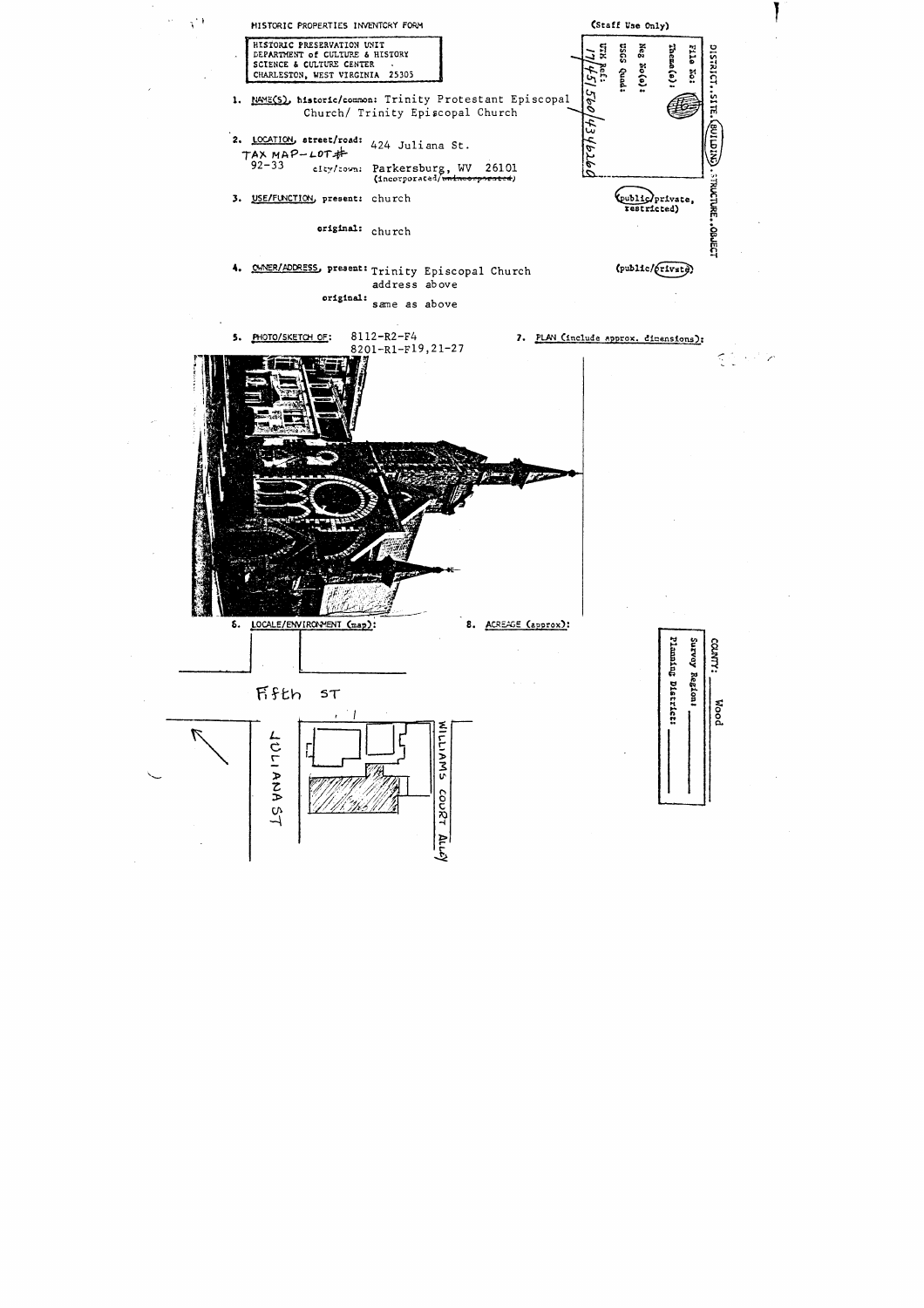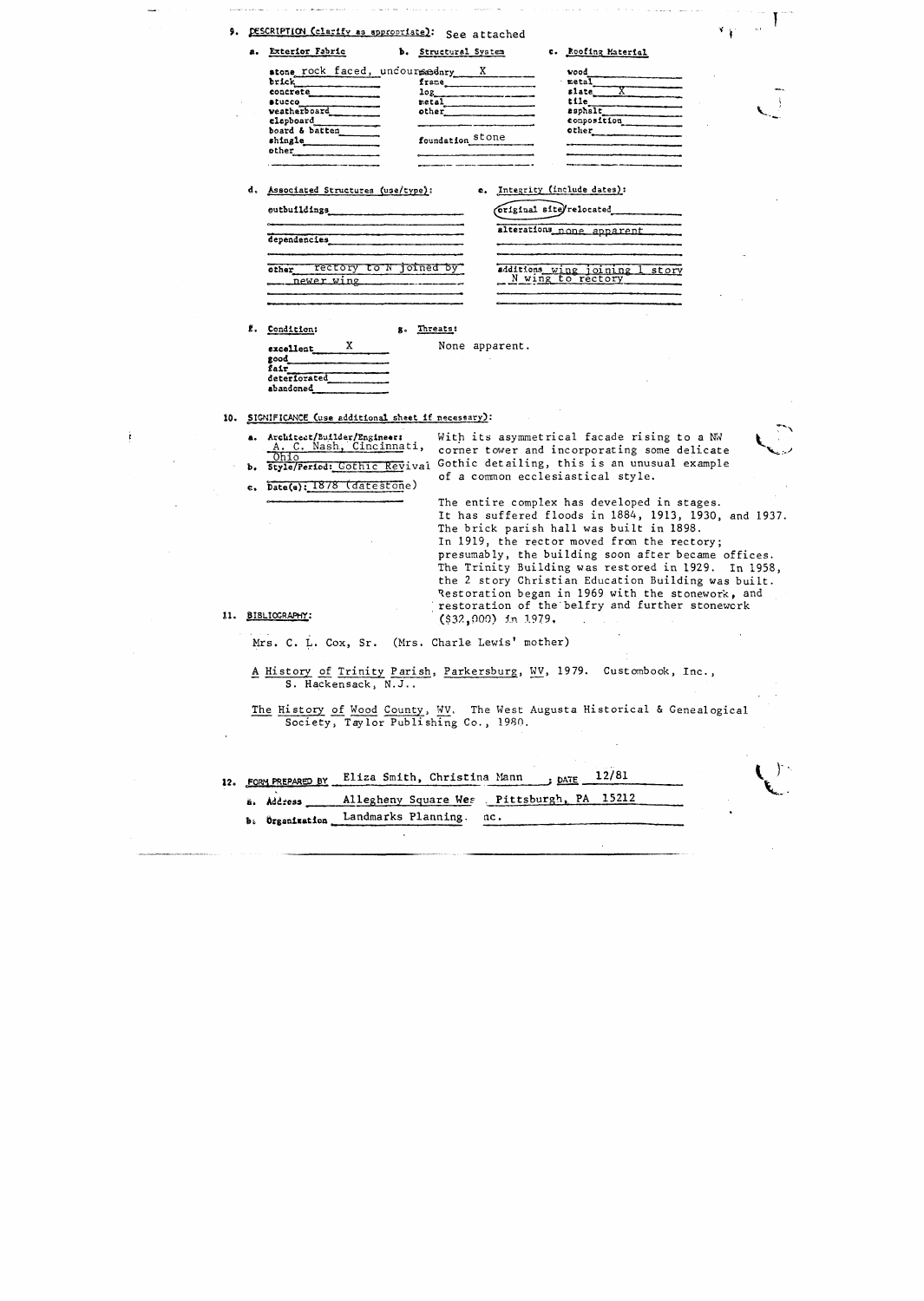| DESCRIPTION (clarify as appropriate):<br>9.<br>See attached |                                |                         |                     |  |  |  |  |
|-------------------------------------------------------------|--------------------------------|-------------------------|---------------------|--|--|--|--|
| а.                                                          | <b>Exterior Fabric</b>         | Structural System<br>ъ. | c. Roofing Material |  |  |  |  |
|                                                             | stone rock faced, uncoursednry |                         | wood                |  |  |  |  |
|                                                             | brick                          | frame                   | metal               |  |  |  |  |
|                                                             | concrete                       | log                     | slate               |  |  |  |  |
|                                                             | stucco                         | metal                   | tile                |  |  |  |  |
|                                                             | veatherboard                   | other                   | asphalt             |  |  |  |  |
|                                                             | clapboard                      |                         | conposition         |  |  |  |  |
|                                                             | board & batten                 |                         | other               |  |  |  |  |
|                                                             | shingle                        | foundation stone        |                     |  |  |  |  |

|  | d. Associated Structures (use/type): |  |
|--|--------------------------------------|--|
|  |                                      |  |

e. Integrity (include dates):

original site/relocated alterations none apparent

|                     | other rectory to N joined by |
|---------------------|------------------------------|
| <u>. newer wing</u> |                              |
|                     |                              |
|                     |                              |

additions wing joining 1 story<br>N wing to rectory

f. Condition:

excellent good\_  $\sin$ deteriorated abandoned

shingle other

eutbuildings

dependencies

None apparent.

10. SIGNIFICANCE (use additional sheet if necessary):

 $\mathbf x$ 

a. Architect/Builder/Engineer: With its asymmetrical facade rising to a NW A. C. Nash, Cincinnati, Style/Period: Gothic Revival

g. Threats:

e. Date(a): 1878 (datestone)

corner tower and incorporating some delicate Gothic detailing, this is an unusual example of a common ecclesiastical style.

The entire complex has developed in stages. It has suffered floods in 1884, 1913, 1930, and 1937. The brick parish hall was built in 1898. In 1919, the rector moved from the rectory; presumably, the building soon after became offices. The Trinity Building was restored in 1929. In 1958, the 2 story Christian Education Building was built. Restoration began in 1969 with the stonework, and restoration of the belfry and further stonework  $($ \$32,000) in 1979.

11. BIBLIOGRAPHY:

 $\mathbf{b}$ .

Mrs. C. L. Cox, Sr. (Mrs. Charle Lewis' mother)

A History of Trinity Parish, Parkersburg, WV, 1979. Custombook, Inc., S. Hackensack, N.J..

The History of Wood County, WV. The West Augusta Historical & Genealogical Society, Taylor Publishing Co., 1980.

|            | $\frac{\text{DATE}}{2}$ $\frac{12}{81}$<br>12. FORM PREPARED BY Eliza Smith, Christina Mann |  |
|------------|---------------------------------------------------------------------------------------------|--|
| a. Address | Allegheny Square Wes Pittsburgh, PA 15212                                                   |  |
|            | b. Organization Landmarks Planning.<br>nc.                                                  |  |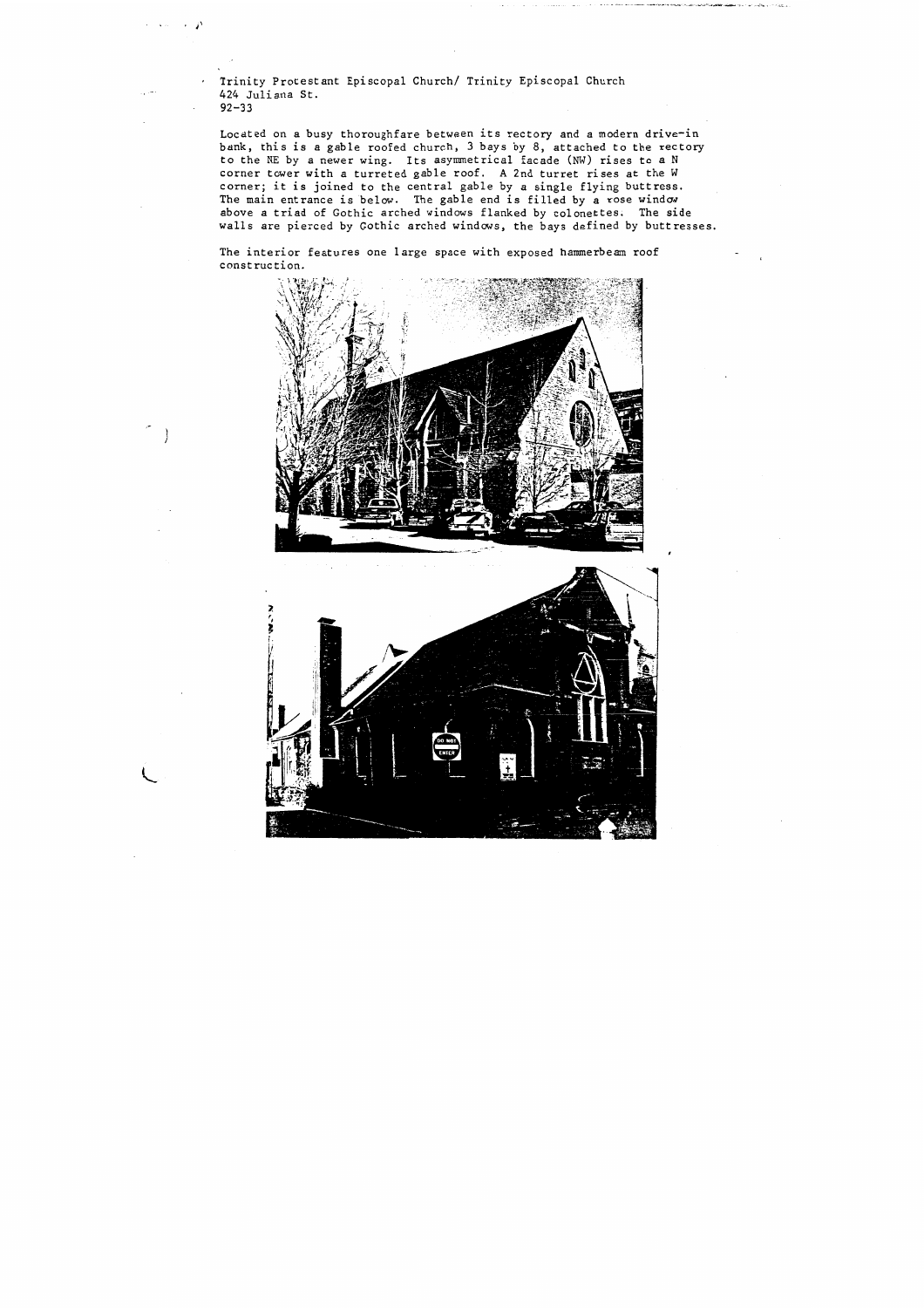Trinity Protestant Episcopal Church/ Trinity Episcopal Church 424 Juliana St. 92-33

ニューズ

**Service** And

The interior features one large space with exposed hammerbeam roof construction.





Located on a busy thoroughfare between its rectory and a modern drive-in bank, this is a gable roofed church, 3 bays by 8, attached to the rectory to the NE by a newer wing. Its asymmetrical facade (NW) rises to a N corner tower with a turreted gable roof. **A** 2nd turret rises at the W corner; it is joined to the central gable by a single flying buttress. The main entrance is below. The gable end is filled by a rose window above a triad of Gothic arched windows flanked by colonettes. The side walls are pierced by Gothic arched windows, the bays defined by buttresses.